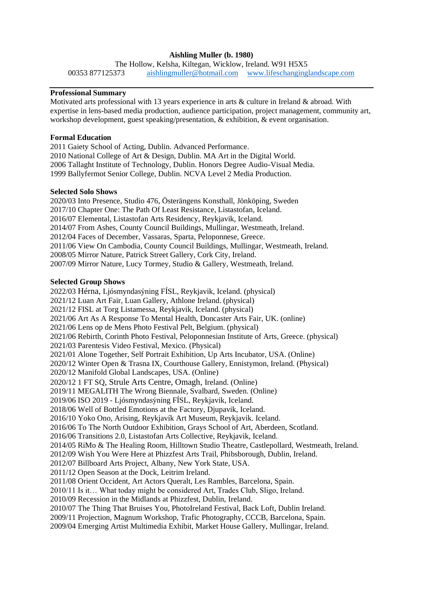# **Aishling Muller (b. 1980)**

The Hollow, Kelsha, Kiltegan, Wicklow, Ireland. W91 H5X5 00353 877125373 [aishlingmuller@hotmail.com](mailto:aishlingmuller@hotmail.com) [www.lifeschanginglandscape.com](http://www.lifeschanginglandscape.com/)

#### **Professional Summary**

Motivated arts professional with 13 years experience in arts & culture in Ireland & abroad. With expertise in lens-based media production, audience participation, project management, community art, workshop development, guest speaking/presentation, & exhibition, & event organisation.

## **Formal Education**

2011 Gaiety School of Acting, Dublin. Advanced Performance. 2010 National College of Art & Design, Dublin. MA Art in the Digital World. 2006 Tallaght Institute of Technology, Dublin. Honors Degree Audio-Visual Media. 1999 Ballyfermot Senior College, Dublin. NCVA Level 2 Media Production.

#### **Selected Solo Shows**

2020/03 Into Presence, Studio 476, Österängens Konsthall, Jönköping, Sweden 2017/10 Chapter One: The Path Of Least Resistance, Listastofan, Iceland. 2016/07 Elemental, Listastofan Arts Residency, Reykjavik, Iceland. 2014/07 From Ashes, County Council Buildings, Mullingar, Westmeath, Ireland. 2012/04 Faces of December, Vassaras, Sparta, Peloponnese, Greece. 2011/06 View On Cambodia, County Council Buildings, Mullingar, Westmeath, Ireland. 2008/05 Mirror Nature, Patrick Street Gallery, Cork City, Ireland. 2007/09 Mirror Nature, Lucy Tormey, Studio & Gallery, Westmeath, Ireland.

## **Selected Group Shows**

2022/03 Hérna, Ljósmyndasýning FÍSL, Reykjavik, Iceland. (physical) 2021/12 Luan Art Fair, Luan Gallery, Athlone Ireland. (physical) 2021/12 FISL at Torg Listamessa, Reykjavik, Iceland. (physical) 2021/06 Art As A Response To Mental Health, Doncaster Arts Fair, UK. (online) 2021/06 Lens op de Mens Photo Festival Pelt, Belgium. (physical) 2021/06 Rebirth, Corinth Photo Festival, Peloponnesian Institute of Arts, Greece. (physical) 2021/03 Parentesis Video Festival, Mexico. (Physical) 2021/01 Alone Together, Self Portrait Exhibition, Up Arts Incubator, USA. (Online) 2020/12 Winter Open & Trasna IX, Courthouse Gallery, Ennistymon, Ireland. (Physical) 2020/12 Manifold Global Landscapes, USA. (Online) 2020/12 1 FT SQ, Strule Arts Centre, Omagh, Ireland. (Online) 2019/11 MEGALITH The Wrong Biennale, Svalbard, Sweden. (Online) 2019/06 ISO 2019 - Ljósmyndasýning FÍSL, Reykjavik, Iceland. 2018/06 Well of Bottled Emotions at the Factory, Djupavik, Iceland. 2016/10 Yoko Ono, Arising, Reykjavík Art Museum, Reykjavik. Iceland. 2016/06 To The North Outdoor Exhibition, Grays School of Art, Aberdeen, Scotland. 2016/06 Transitions 2.0, Listastofan Arts Collective, Reykjavik, Iceland. 2014/05 RiMo & The Healing Room, Hilltown Studio Theatre, Castlepollard, Westmeath, Ireland. 2012/09 Wish You Were Here at Phizzfest Arts Trail, Phibsborough, Dublin, Ireland. 2012/07 Billboard Arts Project, Albany, New York State, USA. 2011/12 Open Season at the Dock, Leitrim Ireland. 2011/08 Orient Occident, Art Actors Queralt, Les Rambles, Barcelona, Spain. 2010/11 Is it… What today might be considered Art, Trades Club, Sligo, Ireland. 2010/09 Recession in the Midlands at Phizzfest, Dublin, Ireland. 2010/07 The Thing That Bruises You, PhotoIreland Festival, Back Loft, Dublin Ireland. 2009/11 Projection, Magnum Workshop, Trafic Photography, CCCB, Barcelona, Spain.

2009/04 Emerging Artist Multimedia Exhibit, Market House Gallery, Mullingar, Ireland.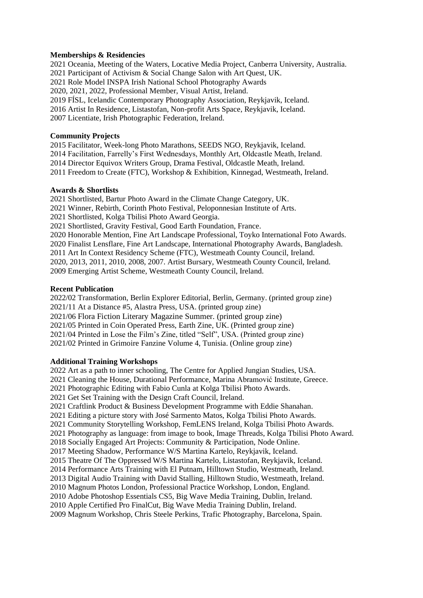## **Memberships & Residencies**

2021 Oceania, Meeting of the Waters, Locative Media Project, Canberra University, Australia. 2021 Participant of Activism & Social Change Salon with Art Quest, UK. 2021 Role Model INSPA Irish National School Photography Awards 2020, 2021, 2022, Professional Member, Visual Artist, Ireland. 2019 FÍSL, Icelandic Contemporary Photography Association, Reykjavik, Iceland. 2016 Artist In Residence, Listastofan, Non-profit Arts Space, Reykjavik, Iceland. 2007 Licentiate, Irish Photographic Federation, Ireland.

## **Community Projects**

2015 Facilitator, Week-long Photo Marathons, SEEDS NGO, Reykjavik, Iceland. 2014 Facilitation, Farrelly's First Wednesdays, Monthly Art, Oldcastle Meath, Ireland. 2014 Director Equivox Writers Group, Drama Festival, Oldcastle Meath, Ireland. 2011 Freedom to Create (FTC), Workshop & Exhibition, Kinnegad, Westmeath, Ireland.

#### **Awards & Shortlists**

2021 Shortlisted, Bartur Photo Award in the Climate Change Category, UK. 2021 Winner, Rebirth, Corinth Photo Festival, Peloponnesian Institute of Arts. 2021 Shortlisted, Kolga Tbilisi Photo Award Georgia. 2021 Shortlisted, Gravity Festival, Good Earth Foundation, France. 2020 Honorable Mention, Fine Art Landscape Professional, Toyko International Foto Awards. 2020 Finalist Lensflare, Fine Art Landscape, International Photography Awards, Bangladesh. 2011 Art In Context Residency Scheme (FTC), Westmeath County Council, Ireland. 2020, 2013, 2011, 2010, 2008, 2007. Artist Bursary, Westmeath County Council, Ireland. 2009 Emerging Artist Scheme, Westmeath County Council, Ireland.

#### **Recent Publication**

2022/02 Transformation, Berlin Explorer Editorial, Berlin, Germany. (printed group zine) 2021/11 At a Distance #5, Alastra Press, USA. (printed group zine) 2021/06 Flora Fiction Literary Magazine Summer. (printed group zine) 2021/05 Printed in Coin Operated Press, Earth Zine, UK. (Printed group zine) 2021/04 Printed in Lose the Film's Zine, titled "Self", USA. (Printed group zine) 2021/02 Printed in Grimoire Fanzine Volume 4, Tunisia. (Online group zine)

## **Additional Training Workshops**

2022 Art as a path to inner schooling, The Centre for Applied Jungian Studies, USA. 2021 Cleaning the House, Durational Performance, Marina Abramović Institute, Greece. 2021 Photographic Editing with Fabio Cunla at Kolga Tbilisi Photo Awards. 2021 Get Set Training with the Design Craft Council, Ireland. 2021 Craftlink Product & Business Development Programme with Eddie Shanahan. 2021 Editing a picture story with José Sarmento Matos, Kolga Tbilisi Photo Awards. 2021 Community Storytelling Workshop, FemLENS Ireland, Kolga Tbilisi Photo Awards. 2021 Photography as language: from image to book, Image Threads, Kolga Tbilisi Photo Award. 2018 Socially Engaged Art Projects: Community & Participation, Node Online. 2017 Meeting Shadow, Performance W/S Martina Kartelo, Reykjavik, Iceland. 2015 Theatre Of The Oppressed W/S Martina Kartelo, Listastofan, Reykjavik, Iceland. 2014 Performance Arts Training with El Putnam, Hilltown Studio, Westmeath, Ireland. 2013 Digital Audio Training with David Stalling, Hilltown Studio, Westmeath, Ireland. 2010 Magnum Photos London, Professional Practice Workshop, London, England. 2010 Adobe Photoshop Essentials CS5, Big Wave Media Training, Dublin, Ireland. 2010 Apple Certified Pro FinalCut, Big Wave Media Training Dublin, Ireland. 2009 Magnum Workshop, Chris Steele Perkins, Trafic Photography, Barcelona, Spain.